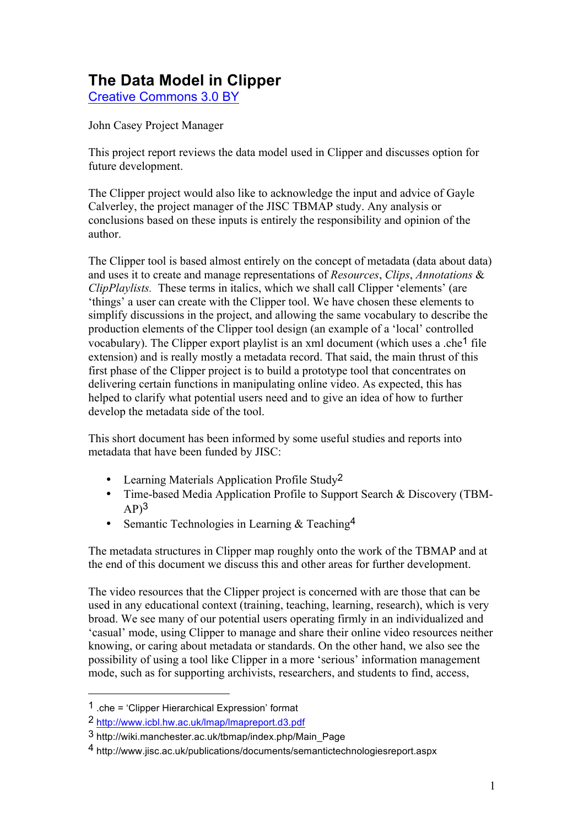# **The Data Model in Clipper**

Creative Commons 3.0 BY

John Casey Project Manager

This project report reviews the data model used in Clipper and discusses option for future development.

The Clipper project would also like to acknowledge the input and advice of Gayle Calverley, the project manager of the JISC TBMAP study. Any analysis or conclusions based on these inputs is entirely the responsibility and opinion of the author.

The Clipper tool is based almost entirely on the concept of metadata (data about data) and uses it to create and manage representations of *Resources*, *Clips*, *Annotations* & *ClipPlaylists.* These terms in italics, which we shall call Clipper 'elements' (are 'things' a user can create with the Clipper tool. We have chosen these elements to simplify discussions in the project, and allowing the same vocabulary to describe the production elements of the Clipper tool design (an example of a 'local' controlled vocabulary). The Clipper export playlist is an xml document (which uses a .che<sup>1</sup> file extension) and is really mostly a metadata record. That said, the main thrust of this first phase of the Clipper project is to build a prototype tool that concentrates on delivering certain functions in manipulating online video. As expected, this has helped to clarify what potential users need and to give an idea of how to further develop the metadata side of the tool.

This short document has been informed by some useful studies and reports into metadata that have been funded by JISC:

- Learning Materials Application Profile Study<sup>2</sup>
- Time-based Media Application Profile to Support Search & Discovery (TBM- $AP$ <sup>3</sup>
- Semantic Technologies in Learning & Teaching<sup>4</sup>

The metadata structures in Clipper map roughly onto the work of the TBMAP and at the end of this document we discuss this and other areas for further development.

The video resources that the Clipper project is concerned with are those that can be used in any educational context (training, teaching, learning, research), which is very broad. We see many of our potential users operating firmly in an individualized and 'casual' mode, using Clipper to manage and share their online video resources neither knowing, or caring about metadata or standards. On the other hand, we also see the possibility of using a tool like Clipper in a more 'serious' information management mode, such as for supporting archivists, researchers, and students to find, access,

 $\overline{a}$ 

<sup>1</sup> .che = 'Clipper Hierarchical Expression' format

<sup>2</sup> http://www.icbl.hw.ac.uk/lmap/lmapreport.d3.pdf

<sup>3</sup> http://wiki.manchester.ac.uk/tbmap/index.php/Main\_Page

<sup>4</sup> http://www.jisc.ac.uk/publications/documents/semantictechnologiesreport.aspx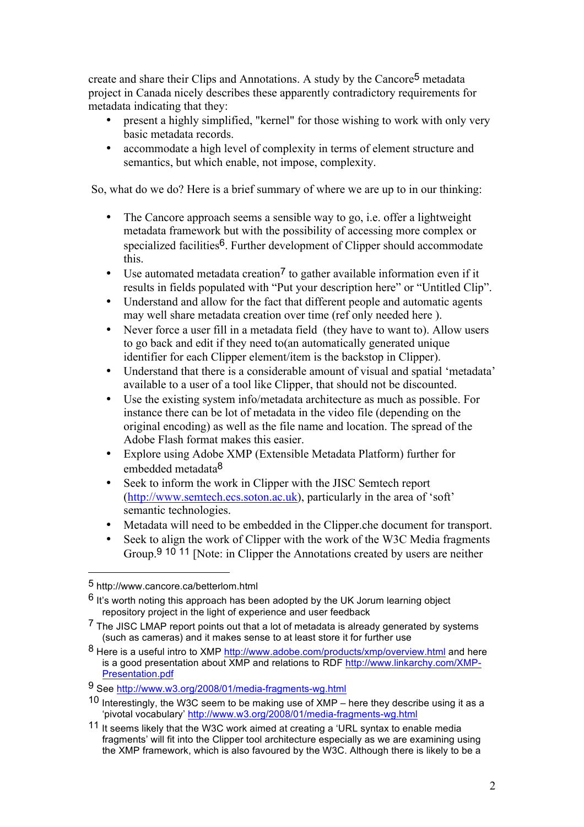create and share their Clips and Annotations. A study by the Cancore5 metadata project in Canada nicely describes these apparently contradictory requirements for metadata indicating that they:

- present a highly simplified, "kernel" for those wishing to work with only very basic metadata records.
- accommodate a high level of complexity in terms of element structure and semantics, but which enable, not impose, complexity.

So, what do we do? Here is a brief summary of where we are up to in our thinking:

- The Cancore approach seems a sensible way to go, i.e. offer a lightweight metadata framework but with the possibility of accessing more complex or specialized facilities<sup>6</sup>. Further development of Clipper should accommodate this.
- Use automated metadata creation<sup>7</sup> to gather available information even if it results in fields populated with "Put your description here" or "Untitled Clip".
- Understand and allow for the fact that different people and automatic agents may well share metadata creation over time (ref only needed here ).
- Never force a user fill in a metadata field (they have to want to). Allow users to go back and edit if they need to(an automatically generated unique identifier for each Clipper element/item is the backstop in Clipper).
- Understand that there is a considerable amount of visual and spatial 'metadata' available to a user of a tool like Clipper, that should not be discounted.
- Use the existing system info/metadata architecture as much as possible. For instance there can be lot of metadata in the video file (depending on the original encoding) as well as the file name and location. The spread of the Adobe Flash format makes this easier.
- Explore using Adobe XMP (Extensible Metadata Platform) further for embedded metadata8
- Seek to inform the work in Clipper with the JISC Semtech report (http://www.semtech.ecs.soton.ac.uk), particularly in the area of 'soft' semantic technologies.
- Metadata will need to be embedded in the Clipper.che document for transport.
- Seek to align the work of Clipper with the work of the W3C Media fragments Group.9 10 11 [Note: in Clipper the Annotations created by users are neither

 $\overline{a}$ 

<sup>5</sup> http://www.cancore.ca/betterlom.html

 $6$  It's worth noting this approach has been adopted by the UK Jorum learning object repository project in the light of experience and user feedback

<sup>&</sup>lt;sup>7</sup> The JISC LMAP report points out that a lot of metadata is already generated by systems (such as cameras) and it makes sense to at least store it for further use

<sup>8</sup> Here is a useful intro to XMP http://www.adobe.com/products/xmp/overview.html and here is a good presentation about XMP and relations to RDF http://www.linkarchy.com/XMP-Presentation.pdf

<sup>9</sup> See http://www.w3.org/2008/01/media-fragments-wg.html

<sup>10</sup> Interestingly, the W3C seem to be making use of XMP – here they describe using it as a 'pivotal vocabulary' http://www.w3.org/2008/01/media-fragments-wg.html

<sup>11</sup> It seems likely that the W3C work aimed at creating a 'URL syntax to enable media fragments' will fit into the Clipper tool architecture especially as we are examining using the XMP framework, which is also favoured by the W3C. Although there is likely to be a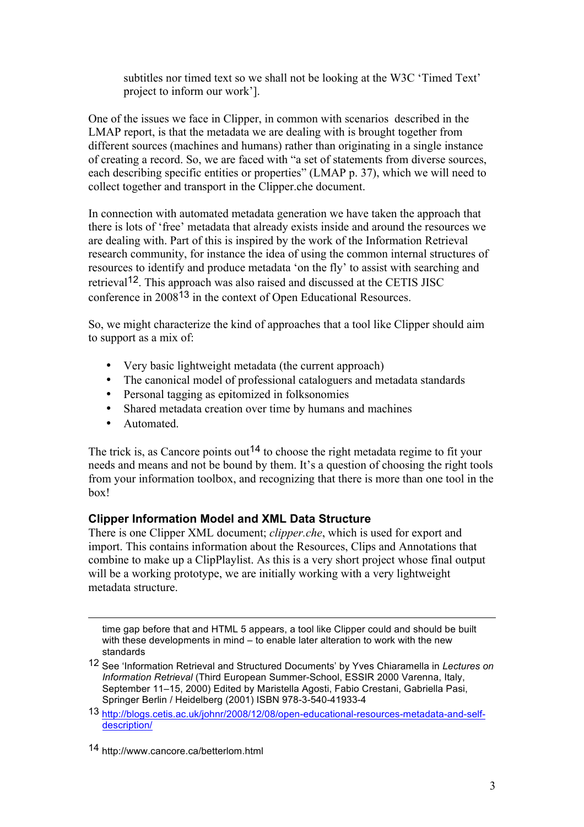subtitles nor timed text so we shall not be looking at the W3C 'Timed Text' project to inform our work'].

One of the issues we face in Clipper, in common with scenarios described in the LMAP report, is that the metadata we are dealing with is brought together from different sources (machines and humans) rather than originating in a single instance of creating a record. So, we are faced with "a set of statements from diverse sources, each describing specific entities or properties" (LMAP p. 37), which we will need to collect together and transport in the Clipper.che document.

In connection with automated metadata generation we have taken the approach that there is lots of 'free' metadata that already exists inside and around the resources we are dealing with. Part of this is inspired by the work of the Information Retrieval research community, for instance the idea of using the common internal structures of resources to identify and produce metadata 'on the fly' to assist with searching and retrieval12. This approach was also raised and discussed at the CETIS JISC conference in 200813 in the context of Open Educational Resources.

So, we might characterize the kind of approaches that a tool like Clipper should aim to support as a mix of:

- Very basic lightweight metadata (the current approach)
- The canonical model of professional cataloguers and metadata standards
- Personal tagging as epitomized in folksonomies
- Shared metadata creation over time by humans and machines
- Automated.

 $\overline{a}$ 

The trick is, as Cancore points out<sup>14</sup> to choose the right metadata regime to fit your needs and means and not be bound by them. It's a question of choosing the right tools from your information toolbox, and recognizing that there is more than one tool in the box!

# **Clipper Information Model and XML Data Structure**

There is one Clipper XML document; *clipper.che*, which is used for export and import. This contains information about the Resources, Clips and Annotations that combine to make up a ClipPlaylist. As this is a very short project whose final output will be a working prototype, we are initially working with a very lightweight metadata structure.

time gap before that and HTML 5 appears, a tool like Clipper could and should be built with these developments in mind – to enable later alteration to work with the new standards

<sup>12</sup> See 'Information Retrieval and Structured Documents' by Yves Chiaramella in *Lectures on Information Retrieval* (Third European Summer-School, ESSIR 2000 Varenna, Italy, September 11–15, 2000) Edited by Maristella Agosti, Fabio Crestani, Gabriella Pasi, Springer Berlin / Heidelberg (2001) ISBN 978-3-540-41933-4

<sup>13</sup> http://blogs.cetis.ac.uk/johnr/2008/12/08/open-educational-resources-metadata-and-selfdescription/

<sup>14</sup> http://www.cancore.ca/betterlom.html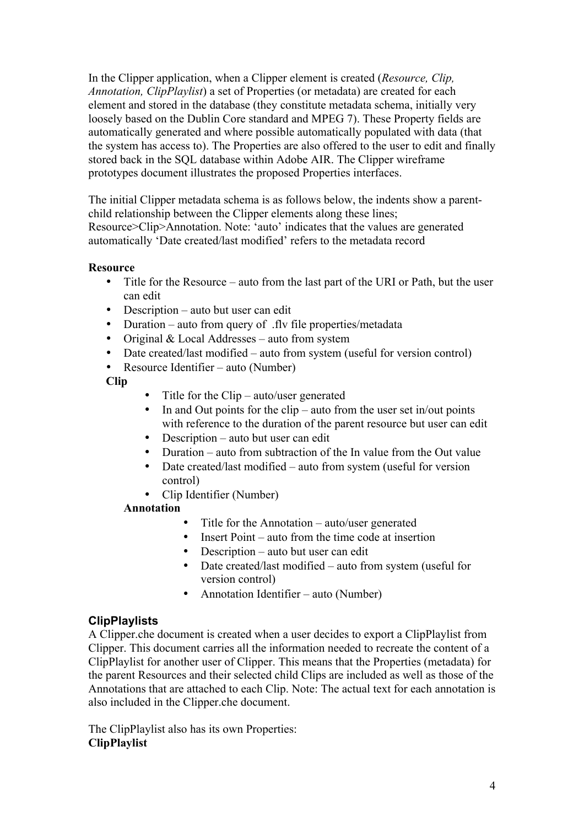In the Clipper application, when a Clipper element is created (*Resource, Clip, Annotation, ClipPlaylist*) a set of Properties (or metadata) are created for each element and stored in the database (they constitute metadata schema, initially very loosely based on the Dublin Core standard and MPEG 7). These Property fields are automatically generated and where possible automatically populated with data (that the system has access to). The Properties are also offered to the user to edit and finally stored back in the SQL database within Adobe AIR. The Clipper wireframe prototypes document illustrates the proposed Properties interfaces.

The initial Clipper metadata schema is as follows below, the indents show a parentchild relationship between the Clipper elements along these lines; Resource>Clip>Annotation. Note: 'auto' indicates that the values are generated automatically 'Date created/last modified' refers to the metadata record

### **Resource**

- Title for the Resource auto from the last part of the URI or Path, but the user can edit
- Description auto but user can edit
- Duration auto from query of .fly file properties/metadata
- Original & Local Addresses auto from system
- Date created/last modified auto from system (useful for version control)
- Resource Identifier auto (Number)

### **Clip**

- Title for the Clip auto/user generated<br>• In and Out points for the clip auto from
- In and Out points for the clip auto from the user set in/out points with reference to the duration of the parent resource but user can edit
- Description auto but user can edit
- Duration auto from subtraction of the Invalue from the Out value
- Date created/last modified auto from system (useful for version control)
- Clip Identifier (Number)

### **Annotation**

- Title for the Annotation auto/user generated
- Insert Point auto from the time code at insertion
- Description auto but user can edit
- Date created/last modified auto from system (useful for version control)
- Annotation Identifier auto (Number)

### **ClipPlaylists**

A Clipper.che document is created when a user decides to export a ClipPlaylist from Clipper. This document carries all the information needed to recreate the content of a ClipPlaylist for another user of Clipper. This means that the Properties (metadata) for the parent Resources and their selected child Clips are included as well as those of the Annotations that are attached to each Clip. Note: The actual text for each annotation is also included in the Clipper.che document.

The ClipPlaylist also has its own Properties: **ClipPlaylist**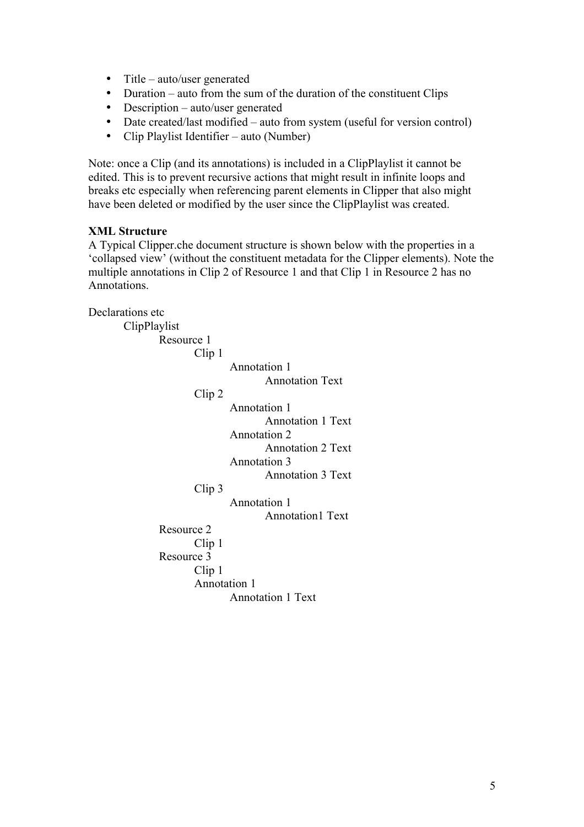- Title auto/user generated
- Duration auto from the sum of the duration of the constituent Clips
- Description auto/user generated
- Date created/last modified auto from system (useful for version control)
- Clip Playlist Identifier auto (Number)

Note: once a Clip (and its annotations) is included in a ClipPlaylist it cannot be edited. This is to prevent recursive actions that might result in infinite loops and breaks etc especially when referencing parent elements in Clipper that also might have been deleted or modified by the user since the ClipPlaylist was created.

### **XML Structure**

A Typical Clipper.che document structure is shown below with the properties in a 'collapsed view' (without the constituent metadata for the Clipper elements). Note the multiple annotations in Clip 2 of Resource 1 and that Clip 1 in Resource 2 has no Annotations.

Declarations etc ClipPlaylist Resource 1 Clip 1 Annotation 1 Annotation Text Clip 2 Annotation 1 Annotation 1 Text Annotation 2 Annotation 2 Text Annotation 3 Annotation 3 Text Clip 3 Annotation 1 Annotation1 Text Resource 2 Clip 1 Resource 3 Clip 1 Annotation 1 Annotation 1 Text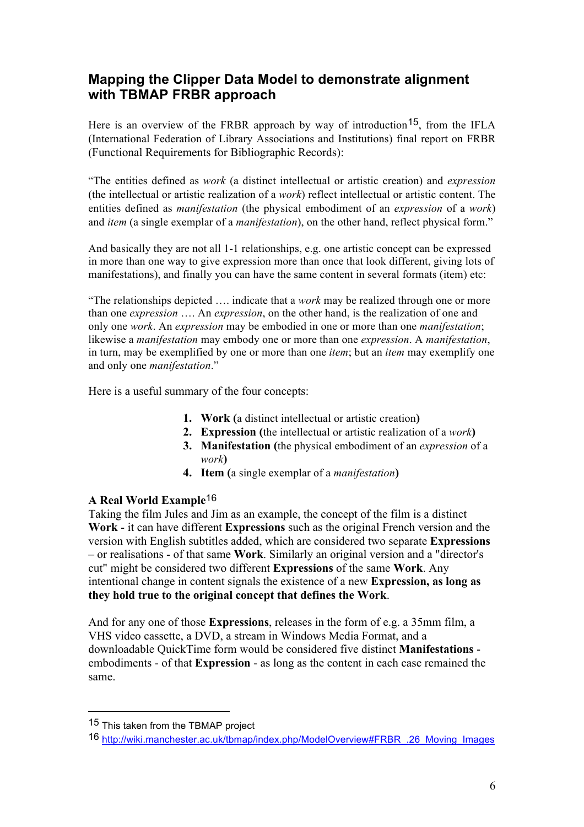# **Mapping the Clipper Data Model to demonstrate alignment with TBMAP FRBR approach**

Here is an overview of the FRBR approach by way of introduction<sup>15</sup>, from the IFLA (International Federation of Library Associations and Institutions) final report on FRBR (Functional Requirements for Bibliographic Records):

"The entities defined as *work* (a distinct intellectual or artistic creation) and *expression*  (the intellectual or artistic realization of a *work*) reflect intellectual or artistic content. The entities defined as *manifestation* (the physical embodiment of an *expression* of a *work*) and *item* (a single exemplar of a *manifestation*), on the other hand, reflect physical form."

And basically they are not all 1-1 relationships, e.g. one artistic concept can be expressed in more than one way to give expression more than once that look different, giving lots of manifestations), and finally you can have the same content in several formats (item) etc:

"The relationships depicted …. indicate that a *work* may be realized through one or more than one *expression* …. An *expression*, on the other hand, is the realization of one and only one *work*. An *expression* may be embodied in one or more than one *manifestation*; likewise a *manifestation* may embody one or more than one *expression*. A *manifestation*, in turn, may be exemplified by one or more than one *item*; but an *item* may exemplify one and only one *manifestation*."

Here is a useful summary of the four concepts:

- **1. Work (**a distinct intellectual or artistic creation**)**
- **2. Expression (**the intellectual or artistic realization of a *work***)**
- **3. Manifestation (**the physical embodiment of an *expression* of a *work***)**
- **4. Item (**a single exemplar of a *manifestation***)**

### **A Real World Example**16

Taking the film Jules and Jim as an example, the concept of the film is a distinct **Work** - it can have different **Expressions** such as the original French version and the version with English subtitles added, which are considered two separate **Expressions** – or realisations - of that same **Work**. Similarly an original version and a "director's cut" might be considered two different **Expressions** of the same **Work**. Any intentional change in content signals the existence of a new **Expression, as long as they hold true to the original concept that defines the Work**.

And for any one of those **Expressions**, releases in the form of e.g. a 35mm film, a VHS video cassette, a DVD, a stream in Windows Media Format, and a downloadable QuickTime form would be considered five distinct **Manifestations** embodiments - of that **Expression** - as long as the content in each case remained the same.

 $\overline{a}$ 

<sup>15</sup> This taken from the TBMAP project

<sup>16</sup> http://wiki.manchester.ac.uk/tbmap/index.php/ModelOverview#FRBR\_.26\_Moving\_Images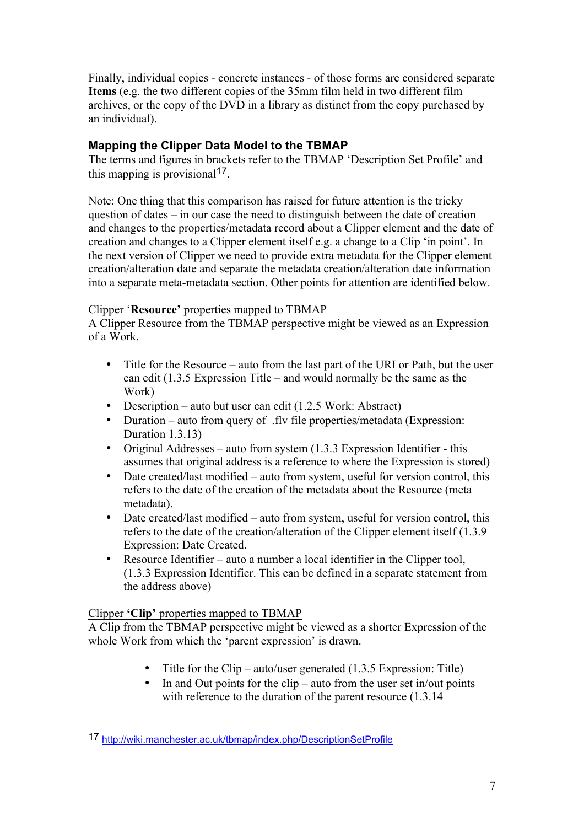Finally, individual copies - concrete instances - of those forms are considered separate **Items** (e.g. the two different copies of the 35mm film held in two different film archives, or the copy of the DVD in a library as distinct from the copy purchased by an individual).

## **Mapping the Clipper Data Model to the TBMAP**

The terms and figures in brackets refer to the TBMAP 'Description Set Profile' and this mapping is provisional<sup>17</sup>.

Note: One thing that this comparison has raised for future attention is the tricky question of dates – in our case the need to distinguish between the date of creation and changes to the properties/metadata record about a Clipper element and the date of creation and changes to a Clipper element itself e.g. a change to a Clip 'in point'. In the next version of Clipper we need to provide extra metadata for the Clipper element creation/alteration date and separate the metadata creation/alteration date information into a separate meta-metadata section. Other points for attention are identified below.

### Clipper '**Resource'** properties mapped to TBMAP

A Clipper Resource from the TBMAP perspective might be viewed as an Expression of a Work.

- Title for the Resource auto from the last part of the URI or Path, but the user can edit (1.3.5 Expression Title – and would normally be the same as the Work)
- Description auto but user can edit (1.2.5 Work: Abstract)
- Duration auto from query of .fly file properties/metadata (Expression: Duration 1.3.13)
- Original Addresses auto from system (1.3.3 Expression Identifier this assumes that original address is a reference to where the Expression is stored)
- Date created/last modified auto from system, useful for version control, this refers to the date of the creation of the metadata about the Resource (meta metadata).
- Date created/last modified auto from system, useful for version control, this refers to the date of the creation/alteration of the Clipper element itself (1.3.9 Expression: Date Created.
- Resource Identifier auto a number a local identifier in the Clipper tool, (1.3.3 Expression Identifier. This can be defined in a separate statement from the address above)

### Clipper **'Clip'** properties mapped to TBMAP

 $\overline{a}$ 

A Clip from the TBMAP perspective might be viewed as a shorter Expression of the whole Work from which the 'parent expression' is drawn.

- Title for the Clip auto/user generated  $(1.3.5 \text{ Expression: Title})$
- In and Out points for the clip auto from the user set in/out points with reference to the duration of the parent resource  $(1.3.14)$

<sup>17</sup> http://wiki.manchester.ac.uk/tbmap/index.php/DescriptionSetProfile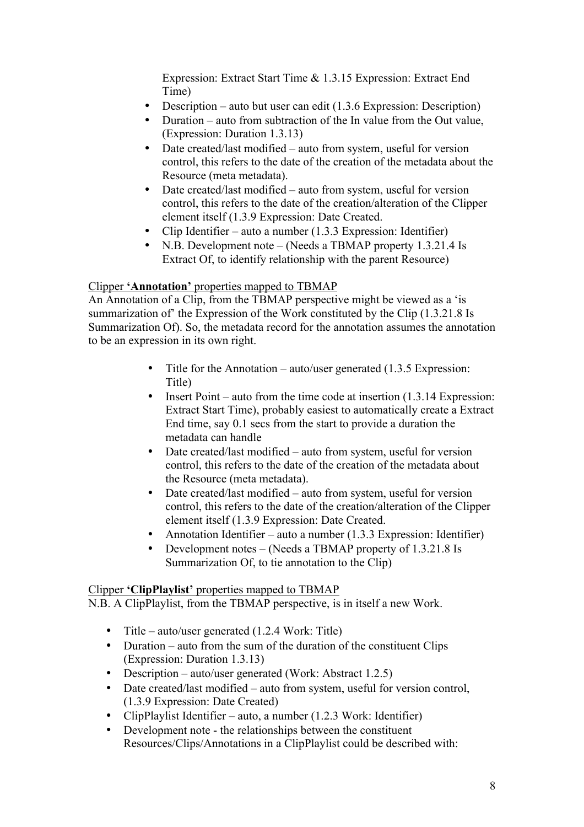Expression: Extract Start Time & 1.3.15 Expression: Extract End Time)

- Description auto but user can edit (1.3.6 Expression: Description)
- Duration auto from subtraction of the Invalue from the Out value, (Expression: Duration 1.3.13)
- Date created/last modified auto from system, useful for version control, this refers to the date of the creation of the metadata about the Resource (meta metadata).
- Date created/last modified auto from system, useful for version control, this refers to the date of the creation/alteration of the Clipper element itself (1.3.9 Expression: Date Created.
- Clip Identifier auto a number (1.3.3 Expression: Identifier)
- N.B. Development note (Needs a TBMAP property 1.3.21.4 Is Extract Of, to identify relationship with the parent Resource)

### Clipper **'Annotation'** properties mapped to TBMAP

An Annotation of a Clip, from the TBMAP perspective might be viewed as a 'is summarization of' the Expression of the Work constituted by the Clip (1.3.21.8 Is Summarization Of). So, the metadata record for the annotation assumes the annotation to be an expression in its own right.

- Title for the Annotation auto/user generated (1.3.5 Expression: Title)
- Insert Point auto from the time code at insertion (1.3.14 Expression: Extract Start Time), probably easiest to automatically create a Extract End time, say 0.1 secs from the start to provide a duration the metadata can handle
- Date created/last modified auto from system, useful for version control, this refers to the date of the creation of the metadata about the Resource (meta metadata).
- Date created/last modified auto from system, useful for version control, this refers to the date of the creation/alteration of the Clipper element itself (1.3.9 Expression: Date Created.
- Annotation Identifier auto a number (1.3.3 Expression: Identifier)
- Development notes (Needs a TBMAP property of 1.3.21.8 Is Summarization Of, to tie annotation to the Clip)

### Clipper **'ClipPlaylist'** properties mapped to TBMAP

N.B. A ClipPlaylist, from the TBMAP perspective, is in itself a new Work.

- Title auto/user generated (1.2.4 Work: Title)
- Duration auto from the sum of the duration of the constituent Clips (Expression: Duration 1.3.13)
- Description auto/user generated (Work: Abstract 1.2.5)
- Date created/last modified auto from system, useful for version control, (1.3.9 Expression: Date Created)
- ClipPlaylist Identifier auto, a number (1.2.3 Work: Identifier)
- Development note the relationships between the constituent Resources/Clips/Annotations in a ClipPlaylist could be described with: